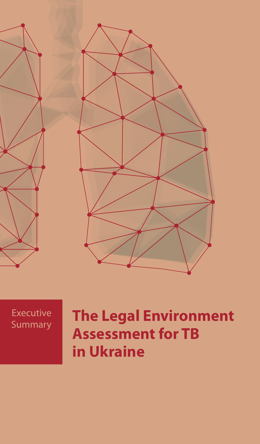



# **The Legal Environment Assessment for TB in Ukraine**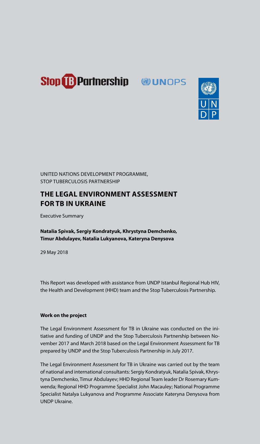



UNITED NATIONS DEVELOPMENT PROGRAMME, STOP TUBERCULOSIS PARTNERSHIP

## **THE LEGAL ENVIRONMENT ASSESSMENT FOR TB IN UKRAINE**

Executive Summary

**Natalia Spivak, Sergiy Kondratyuk, Khrystyna Demchenko, Timur Abdulayev, Natalia Lukyanova, Kateryna Denysova** 

29 May 2018

This Report was developed with assistance from UNDP Istanbul Regional Hub HIV, the Health and Development (HHD) team and the Stop Tuberculosis Partnership.

## **Work on the project**

The Legal Environment Assessment for TB in Ukraine was conducted on the initiative and funding of UNDP and the Stop Tuberculosis Partnership between November 2017 and March 2018 based on the Legal Environment Assessment for TB prepared by UNDP and the Stop Tuberculosis Partnership in July 2017.

The Legal Environment Assessment for TB in Ukraine was carried out by the team of national and international consultants: Sergiy Kondratyuk, Natalia Spivak, Khrystyna Demchenko, Timur Abdulayev; HHD Regional Team leader Dr Rosemary Kumwenda; Regional HHD Programme Specialist John Macauley; National Programme Specialist Natalya Lukyanova and Programme Associate Kateryna Denysova from UNDP Ukraine.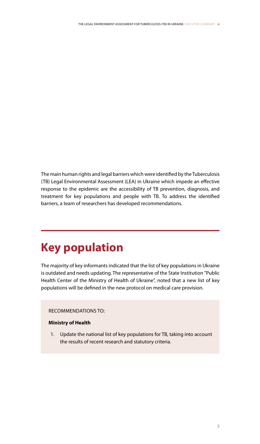The main human rights and legal barriers which were identified by the Tuberculosis (TB) Legal Environmental Assessment (LEA) in Ukraine which impede an effective response to the epidemic are the accessibility of TB prevention, diagnosis, and treatment for key populations and people with TB. To address the identified barriers, a team of researchers has developed recommendations.

## **Key population**

The majority of key informants indicated that the list of key populations in Ukraine is outdated and needs updating. The representative of the State Institution "Public Health Center of the Ministry of Health of Ukraine", noted that a new list of key populations will be defined in the new protocol on medical care provision.

#### RECOMMENDATIONS TO:

## **Ministry of Health**

1. Update the national list of key populations for TB, taking into account the results of recent research and statutory criteria.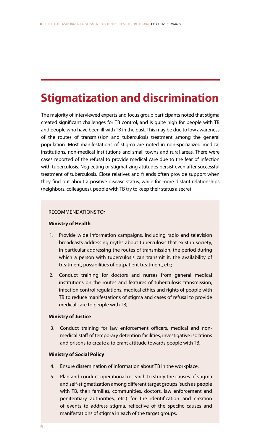## **Stigmatization and discrimination**

The majority of interviewed experts and focus group participants noted that stigma created significant challenges for TB control, and is quite high for people with TB and people who have been ill with TB in the past. This may be due to low awareness of the routes of transmission and tuberculosis treatment among the general population. Most manifestations of stigma are noted in non-specialized medical institutions, non-medical institutions and small towns and rural areas. There were cases reported of the refusal to provide medical care due to the fear of infection with tuberculosis. Neglecting or stigmatizing attitudes persist even after successful treatment of tuberculosis. Close relatives and friends often provide support when they find out about a positive disease status, while for more distant relationships (neighbors, colleagues), people with TB try to keep their status a secret.

## RECOMMENDATIONS TO*:*

## **Ministry of Health**

- 1. Provide wide information campaigns, including radio and television broadcasts addressing myths about tuberculosis that exist in society, in particular addressing the routes of transmission, the period during which a person with tuberculosis can transmit it, the availability of treatment, possibilities of outpatient treatment, etc;
- 2. Conduct training for doctors and nurses from general medical institutions on the routes and features of tuberculosis transmission, infection control regulations, medical ethics and rights of people with TB to reduce manifestations of stigma and cases of refusal to provide medical care to people with TB;

#### **Ministry of Justice**

3. Conduct training for law enforcement officers, medical and nonmedical staff of temporary detention facilities, investigative isolations and prisons to create a tolerant attitude towards people with TB;

## **Ministry of Social Policy**

- 4. Ensure dissemination of information about TB in the workplace.
- 5. Plan and conduct operational research to study the causes of stigma and self-stigmatization among different target groups (such as people with TB, their families, communities, doctors, law enforcement and penitentiary authorities, etc.) for the identification and creation of events to address stigma, reflective of the specific causes and manifestations of stigma in each of the target groups.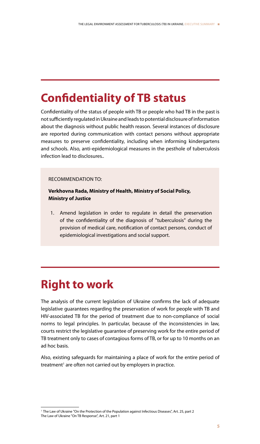## **Confidentiality of TB status**

Confidentiality of the status of people with TB or people who had TB in the past is not sufficiently regulated in Ukraine and leads to potential disclosure of information about the diagnosis without public health reason. Several instances of disclosure are reported during communication with contact persons without appropriate measures to preserve confidentiality, including when informing kindergartens and schools. Also, anti-epidemiological measures in the pesthole of tuberculosis infection lead to disclosures..

#### RECOMMENDATION TO:

**Verkhovna Rada, Ministry of Health, Ministry of Social Policy, Ministry of Justice**

1. Amend legislation in order to regulate in detail the preservation of the confidentiality of the diagnosis of "tuberculosis" during the provision of medical care, notification of contact persons, conduct of epidemiological investigations and social support.

## **Right to work**

The analysis of the current legislation of Ukraine confirms the lack of adequate legislative guarantees regarding the preservation of work for people with TB and HIV-associated TB for the period of treatment due to non-compliance of social norms to legal principles. In particular, because of the inconsistencies in law, courts restrict the legislative guarantee of preserving work for the entire period of TB treatment only to cases of contagious forms of TB, or for up to 10 months on an ad hoc basis.

Also, existing safeguards for maintaining a place of work for the entire period of treatment<sup>1</sup> are often not carried out by employers in practice.

<sup>&</sup>lt;sup>1</sup> The Law of Ukraine "On the Protection of the Population against Infectious Diseases", Art. 25, part 2 The Law of Ukraine "On TB Response", Art. 21, part 1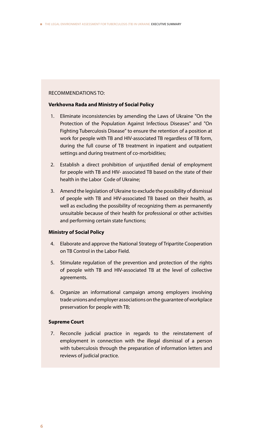#### RECOMMENDATIONS TO:

## **Verkhovna Rada and Ministry of Social Policy**

- 1. Eliminate inconsistencies by amending the Laws of Ukraine "On the Protection of the Population Against Infectious Diseases" and "On Fighting Tuberculosis Disease" to ensure the retention of a position at work for people with TB and HIV-associated TB regardless of TB form, during the full course of TB treatment in inpatient and outpatient settings and during treatment of co-morbidities;
- 2. Establish a direct prohibition of unjustified denial of employment for people with TB and HIV- associated TB based on the state of their health in the Labor Code of Ukraine;
- 3. Amend the legislation of Ukraine to exclude the possibility of dismissal of people with TB and HIV-associated TB based on their health, as well as excluding the possibility of recognizing them as permanently unsuitable because of their health for professional or other activities and performing certain state functions;

#### **Ministry of Social Policy**

- 4. Elaborate and approve the National Strategy of Tripartite Cooperation on TB Control in the Labor Field.
- 5. Stimulate regulation of the prevention and protection of the rights of people with TB and HIV-associated TB at the level of collective agreements.
- 6. Organize an informational campaign among employers involving trade unions and employer associations on the guarantee of workplace preservation for people with TB;

#### **Supreme Court**

7. Reconcile judicial practice in regards to the reinstatement of employment in connection with the illegal dismissal of a person with tuberculosis through the preparation of information letters and reviews of judicial practice.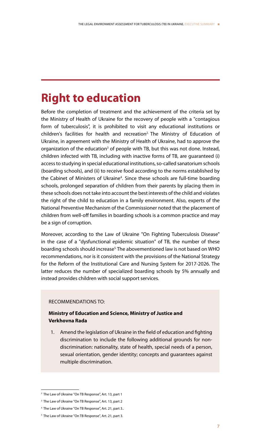## **Right to education**

Before the completion of treatment and the achievement of the criteria set by the Ministry of Health of Ukraine for the recovery of people with a "contagious form of tuberculosis", it is prohibited to visit any educational institutions or children's facilities for health and recreation<sup>2</sup> The Ministry of Education of Ukraine, in agreement with the Ministry of Health of Ukraine, had to approve the organization of the education<sup>3</sup> of people with TB, but this was not done. Instead, children infected with TB, including with inactive forms of TB, are guaranteed (i) access to studying in special educational institutions, so-called sanatorium schools (boarding schools), and (ii) to receive food according to the norms established by the Cabinet of Ministers of Ukraine<sup>4</sup>. Since these schools are full-time boarding schools, prolonged separation of children from their parents by placing them in these schools does not take into account the best interests of the child and violates the right of the child to education in a family environment. Also, experts of the National Preventive Mechanism of the Commissioner noted that the placement of children from well-off families in boarding schools is a common practice and may be a sign of corruption.

Moreover, according to the Law of Ukraine "On Fighting Tuberculosis Disease" in the case of a "dysfunctional epidemic situation" of TB, the number of these boarding schools should increase<sup>5.</sup> The abovementioned law is not based on WHO recommendations, nor is it consistent with the provisions of the National Strategy for the Reform of the Institutional Care and Nursing System for 2017-2026. The latter reduces the number of specialized boarding schools by 5% annually and instead provides children with social support services.

## RECOMMENDATIONS TO:

## **Ministry of Education and Science, Ministry of Justice and Verkhovna Rada**

1. Amend the legislation of Ukraine in the field of education and fighting discrimination to include the following additional grounds for nondiscrimination: nationality, state of health, special needs of a person, sexual orientation, gender identity; concepts and guarantees against multiple discrimination.

<sup>2</sup> The Law of Ukraine "On TB Response", Art. 13, part 1

<sup>&</sup>lt;sup>3</sup> The Law of Ukraine "On TB Response", Art. 13, part 2

<sup>4</sup> The Law of Ukraine "On TB Response", Art. 21, part 3..

<sup>5</sup> The Law of Ukraine "On TB Response", Art. 21, part 3.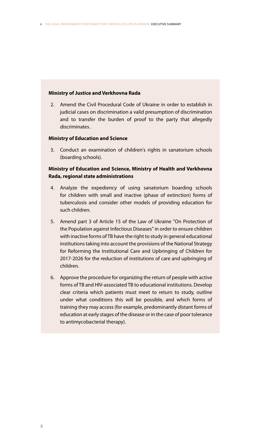#### **Ministry of Justice and Verkhovna Rada**

2. Amend the Civil Procedural Code of Ukraine in order to establish in judicial cases on discrimination a valid presumption of discrimination and to transfer the burden of proof to the party that allegedly discriminates .

### **Ministry of Education and Science**

3. Conduct an examination of children's rights in sanatorium schools (boarding schools).

## **Ministry of Education and Science, Ministry of Health and Verkhovna Rada, regional state administrations**

- 4. Analyze the expediency of using sanatorium boarding schools for children with small and inactive (phase of extinction) forms of tuberculosis and consider other models of providing education for such children.
- 5. Amend part 3 of Article 15 of the Law of Ukraine "On Protection of the Population against Infectious Diseases" in order to ensure children with inactive forms of TB have the right to study in general educational institutions taking into account the provisions of the National Strategy for Reforming the Institutional Care and Upbringing of Children for 2017-2026 for the reduction of institutions of care and upbringing of children.
- 6. Approve the procedure for organizing the return of people with active forms of TB and HIV-associated TB to educational institutions. Develop clear criteria which patients must meet to return to study, outline under what conditions this will be possible, and which forms of training they may access (for example, predominantly distant forms of education at early stages of the disease or in the case of poor tolerance to antimycobacterial therapy).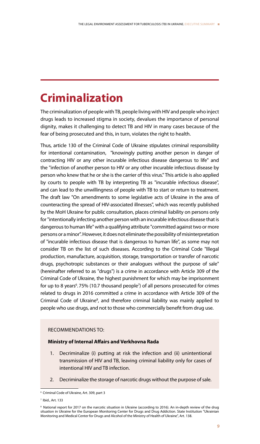## **Criminalization**

The criminalization of people with TB, people living with HIV and people who inject drugs leads to increased stigma in society, devalues the importance of personal dignity, makes it challenging to detect TB and HIV in many cases because of the fear of being prosecuted and this, in turn, violates the right to health.

Thus, article 130 of the Criminal Code of Ukraine stipulates criminal responsibility for intentional contamination, "knowingly putting another person in danger of contracting HIV or any other incurable infectious disease dangerous to life" and the "infection of another person to HIV or any other incurable infectious disease by person who knew that he or she is the carrier of this virus." This article is also applied by courts to people with TB by interpreting TB as "incurable infectious disease", and can lead to the unwillingness of people with TB to start or return to treatment. The draft law "On amendments to some legislative acts of Ukraine in the area of counteracting the spread of HIV-associated illnesses", which was recently published by the MoH Ukraine for public consultation, places criminal liability on persons only for "intentionally infecting another person with an incurable infectious disease that is dangerous to human life" with a qualifying attribute "committed against two or more persons or a minor". However, it does not eliminate the possibility of misinterpretation of "incurable infectious disease that is dangerous to human life", as some may not consider TB on the list of such diseases. According to the Criminal Code "Illegal production, manufacture, acquisition, storage, transportation or transfer of narcotic drugs, psychotropic substances or their analogues without the purpose of sale" (hereinafter referred to as "drugs") is a crime in accordance with Article 309 of the Criminal Code of Ukraine, the highest punishment for which may be imprisonment for up to 8 years $6.75\%$  (10.7 thousand people<sup>7</sup>) of all persons prosecuted for crimes related to drugs in 2016 committed a crime in accordance with Article 309 of the Criminal Code of Ukraine<sup>8</sup>, and therefore criminal liability was mainly applied to people who use drugs, and not to those who commercially benefit from drug use.

## RECOMMENDATIONS TO:

#### **Ministry of Internal Affairs and Verkhovna Rada**

- 1. Decriminalize (i) putting at risk the infection and (ii) unintentional transmission of HIV and TB, leaving criminal liability only for cases of intentional HIV and TB infection.
- 2. Decriminalize the storage of narcotic drugs without the purpose of sale.

<sup>6</sup> Criminal Code of Ukraine, Art. 309, part 3

<sup>7</sup> Ibid., Art. 133

<sup>8</sup> National report for 2017 on the narcotic situation in Ukraine (according to 2016). An in-depth review of the drug situation in Ukraine for the European Monitoring Center for Drugs and Drug Addiction. State Institution "Ukrainian Monitoring and Medical Center for Drugs and Alcohol of the Ministry of Health of Ukraine", Art. 138.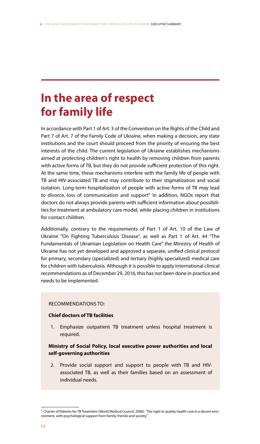## **In the area of respect for family life**

In accordance with Part 1 of Art. 3 of the Convention on the Rights of the Child and Part 7 of Art. 7 of the Family Code of Ukraine, when making a decision, any state institutions and the court should proceed from the priority of ensuring the best interests of the child. The current legislation of Ukraine establishes mechanisms aimed at protecting children's right to health by removing children from parents with active forms of TB, but they do not provide sufficient protection of this right. At the same time, these mechanisms interfere with the family life of people with TB and HIV-associated TB and may contribute to their stigmatization and social isolation. Long-term hospitalization of people with active forms of TB may lead to divorce, loss of communication and support<sup>9.</sup> In addition, NGOs report that doctors do not always provide parents with sufficient information about possibilities for treatment at ambulatory care model, while placing children in institutions for contact children.

Additionally, contrary to the requirements of Part 1 of Art. 10 of the Law of Ukraine "On Fighting Tuberculosis Disease", as well as Part 1 of Art. 44 "The Fundamentals of Ukrainian Legislation on Health Care" the Ministry of Health of Ukraine has not yet developed and approved a separate, unified clinical protocol for primary, secondary (specialized) and tertiary (highly specialized) medical care for children with tuberculosis. Although it is possible to apply international clinical recommendations as of December 29, 2016, this has not been done in practice and needs to be implemented.

## RECOMMENDATIONS TO:

## **Chief doctors of TB facilities**

1. Emphasize outpatient TB treatment unless hospital treatment is required.

## **Ministry of Social Policy, local executive power authorities and local self-governing authorities**

2. Provide social support and support to people with TB and HIVassociated TB, as well as their families based on an assessment of individual needs.

<sup>9</sup> Charter of Patients for TB Treatment (World Medical Council, 2006): "The right to quality health care in a decent environment, with psychological support from family, friends and society."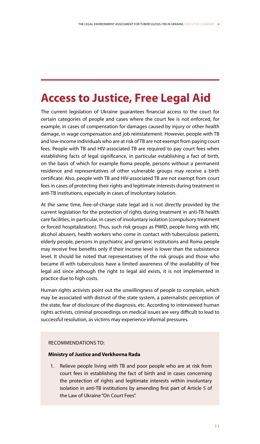## **Access to Justice, Free Legal Aid**

The current legislation of Ukraine guarantees financial access to the court for certain categories of people and cases where the court fee is not enforced, for example, in cases of compensation for damages caused by injury or other health damage, in wage compensation and job reinstatement. However, people with TB and low-income individuals who are at risk of TB are not exempt from paying court fees. People with TB and HIV-associated TB are required to pay court fees when establishing facts of legal significance, in particular establishing a fact of birth, on the basis of which for example Roma people, persons without a permanent residence and representatives of other vulnerable groups may receive a birth certificate. Also, people with TB and HIV-associated TB are not exempt from court fees in cases of protecting their rights and legitimate interests during treatment in anti-TB institutions, especially in cases of involuntary isolation.

At the same time, free-of-charge state legal aid is not directly provided by the current legislation for the protection of rights during treatment in anti-TB health care facilities, in particular, in cases of involuntary isolation (compulsory treatment or forced hospitalization). Thus, such risk groups as PWID, people living with HIV, alcohol abusers, health workers who come in contact with tuberculosis patients, elderly people, persons in psychiatric and geriatric institutions and Roma people may receive free benefits only if their income level is lower than the subsistence level. It should be noted that representatives of the risk groups and those who became ill with tuberculosis have a limited awareness of the availability of free legal aid since although the right to legal aid exists, it is not implemented in practice due to high costs.

Human rights activists point out the unwillingness of people to complain, which may be associated with distrust of the state system, a paternalistic perception of the state, fear of disclosure of the diagnosis, etc. According to interviewed human rights activists, criminal proceedings on medical issues are very difficult to lead to successful resolution, as victims may experience informal pressures.

## RECOMMENDATIONS TO:

## **Ministry of Justice and Verkhovna Rada**

1. Relieve people living with TB and poor people who are at risk from court fees in establishing the fact of birth and in cases concerning the protection of rights and legitimate interests within involuntary isolation in anti-TB institutions by amending first part of Article 5 of the Law of Ukraine "On Court Fees".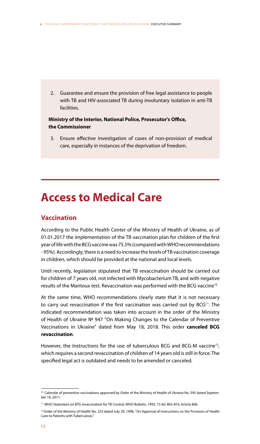2. Guarantee and ensure the provision of free legal assistance to people with TB and HIV-associated TB during involuntary isolation in anti-TB facilities.

## **Ministry of the Interior, National Police, Prosecutor's Office, the Commissioner**

3. Ensure effective investigation of cases of non-provision of medical care, especially in instances of the deprivation of freedom.

## **Access to Medical Care**

## **Vaccination**

According to the Public Health Center of the Ministry of Health of Ukraine, as of 01.01.2017 the implementation of the TB vaccination plan for children of the first year of life with the BCG vaccine was 75.5% (compared with WHO recommendations - 95%). Accordingly, there is a need to increase the levels of TB vaccination coverage in children, which should be provided at the national and local levels.

Until recently, legislation stipulated that TB revaccination should be carried out for children of 7 years old, not infected with Mycobacterium TB, and with negative results of the Mantoux test. Revaccination was performed with the BCG vaccine<sup>10.</sup>

At the same time, WHO recommendations clearly state that it is not necessary to carry out revaccination if the first vaccination was carried out by BCG<sup>11</sup>. The indicated recommendation was taken into account in the order of the Ministry of Health of Ukraine № 947 "On Making Changes to the Calendar of Preventive Vaccinations in Ukraine" dated from May 18, 2018. This order **canceled BCG revaccination**.

However, the Instructions for the use of tuberculous BCG and BCG-M vaccine<sup>12</sup>, which requires a second revaccination of children of 14 years old is still in force. The specified legal act is outdated and needs to be amended or canceled.

<sup>&</sup>lt;sup>10</sup> Calendar of preventive vaccinations approved by Order of the Ministry of Health of Ukraine No. 595 dated September 16, 2011.

<sup>11</sup> WHO Statement on BTG revaccination for TB Control, WHO Bulletin, 1995, 73 (6): 805-810, Article 806.

<sup>&</sup>lt;sup>12</sup> Order of the Ministry of Health No. 233 dated July 29, 1996, "On Approval of Instructions on the Provision of Health Care to Patients with Tuberculosis."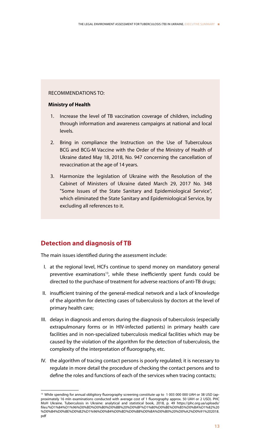### RECOMMENDATIONS TO:

### **Ministry of Health**

- 1. Increase the level of TB vaccination coverage of children, including through information and awareness campaigns at national and local levels.
- 2. Bring in compliance the Instruction on the Use of Tuberculous BCG and BCG-M Vaccine with the Order of the Ministry of Health of Ukraine dated May 18, 2018, No. 947 concerning the cancellation of revaccination at the age of 14 years.
- 3. Harmonize the legislation of Ukraine with the Resolution of the Cabinet of Ministers of Ukraine dated March 29, 2017 No. 348 "Some Issues of the State Sanitary and Epidemiological Service", which eliminated the State Sanitary and Epidemiological Service, by excluding all references to it.

## **Detection and diagnosis of TB**

The main issues identified during the assessment include:

- I. at the regional level, HCFs continue to spend money on mandatory general preventive examinations<sup>13</sup>, while these inefficiently spent funds could be directed to the purchase of treatment for adverse reactions of anti-TB drugs;
- II. insufficient training of the general-medical network and a lack of knowledge of the algorithm for detecting cases of tuberculosis by doctors at the level of primary health care;
- III. delays in diagnosis and errors during the diagnosis of tuberculosis (especially extrapulmonary forms or in HIV-infected patients) in primary health care facilities and in non-specialized tuberculosis medical facilities which may be caused by the violation of the algorithm for the detection of tuberculosis, the complexity of the interpretation of fluorography, etc.
- IV. the algorithm of tracing contact persons is poorly regulated; it is necessary to regulate in more detail the procedure of checking the contact persons and to define the roles and functions of each of the services when tracing contacts;

<sup>&</sup>lt;sup>13</sup> While spending for annual obligitory fluorography screening constitute up to 1003 000 000 UAH or 38 USD (approximately 16 mln examinations conducted with average cost of 1 fluorography approx. 50 UAH or 2 USD). PHC MoH Ukraine. Tuberculosis in Ukraine: analytical and statistical book, 2018, p. 49 https://phc.org.ua/uploads/ files/%D1%84%D1%96%D0%BD%D0%B0%D0%BB%20%D0%BF%D1%80%D0%BE%D0%B5%D0%BA%D1%82%20 %D0%B4%D0%BE%D0%B2%D1%96%D0%B4%D0%BD%D0%B8%D0%BA%D0%B0%20%D0%A2%D0%91%202018. pdf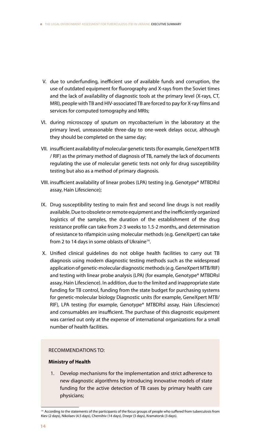- V. due to underfunding, inefficient use of available funds and corruption, the use of outdated equipment for fluorography and X-rays from the Soviet times and the lack of availability of diagnostic tools at the primary level (X-rays, CT, MRI), people with TB and HIV-associated TB are forced to pay for X-ray films and services for computed tomography and MRIs;
- VI. during microscopy of sputum on mycobacterium in the laboratory at the primary level, unreasonable three-day to one-week delays occur, although they should be completed on the same day;
- VII. insufficient availability of molecular genetic tests (for example, GeneXpert MTB / RIF) as the primary method of diagnosis of TB, namely the lack of documents regulating the use of molecular genetic tests not only for drug susceptibility testing but also as a method of primary diagnosis.
- VIII. insufficient availability of linear probes (LPA) testing (e.g. Genotype® MTBDRsl assay, Hain Lifescience);
- IX. Drug susceptibility testing to main first and second line drugs is not readily available. Due to obsolete or remote equipment and the inefficiently organized logistics of the samples, the duration of the establishment of the drug resistance profile can take from 2-3 weeks to 1.5-2 months, and determination of resistance to rifampicin using molecular methods (e.g. GeneXpert) can take from 2 to 14 days in some oblasts of Ukraine<sup>14</sup>.
- X. Unified clinical guidelines do not oblige health facilities to carry out TB diagnosis using modern diagnostic testing methods such as the widespread application of genetic-molecular diagnostic methods (e.g. GeneXpert MTB/RIF) and testing with linear probe analysis (LPA) (for example, Genotype® MTBDRsl assay, Hain Lifescience). In addition, due to the limited and inappropriate state funding for TB control, funding from the state budget for purchasing systems for genetic-molecular biology Diagnostic units (for example, GeneXpert MTB/ RIF), LPA testing (for example, Genotype® MTBDRsl assay, Hain Lifescience) and consumables are insufficient. The purchase of this diagnostic equipment was carried out only at the expense of international organizations for a small number of health facilities.

## RECOMMENDATIONS TO:

## **Ministry of Health**

1. Develop mechanisms for the implementation and strict adherence to new diagnostic algorithms by introducing innovative models of state funding for the active detection of TB cases by primary health care physicians;

<sup>&</sup>lt;sup>14</sup> According to the statements of the participants of the focus groups of people who suffered from tuberculosis from Kiev (2 days), Nikolaev (4.5 days), Chernihiv (14 days), Dnepr (3 days), Kramatorsk (3 days).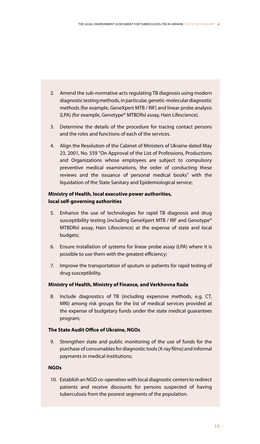- 2. Amend the sub-normative acts regulating TB diagnosis using modern diagnostic testing methods, in particular, genetic-molecular diagnostic methods (for example, GeneXpert MTB / RIF) and linear probe analysis (LPA) (for example, Genotype® MTBDRsl assay, Hain Lifescience).
- 3. Determine the details of the procedure for tracing contact persons and the roles and functions of each of the services.
- 4. Align the Resolution of the Cabinet of Ministers of Ukraine dated May 23, 2001, No. 559 "On Approval of the List of Professions, Productions and Organizations whose employees are subject to compulsory preventive medical examinations, the order of conducting these reviews and the issuance of personal medical books" with the liquidation of the State Sanitary and Epidemiological service;

## **Ministry of Health, local executive power authorities, local self-governing authorities**

- 5. Enhance the use of technologies for rapid TB diagnosis and drug susceptibility testing (including GeneXpert MTB / RIF and Genotype® MTBDRsl assay, Hain Lifescience) at the expense of state and local budgets;
- 6. Ensure installation of systems for linear probe assay (LPA) where it is possible to use them with the greatest efficiency;
- 7. Improve the transportation of sputum or patients for rapid testing of drug susceptibility.

## **Ministry of Health, Ministry of Finance, and Verkhovna Rada**

8. Include diagnostics of TB (including expensive methods, e.g. CT, MRI) among risk groups for the list of medical services provided at the expense of budgetary funds under the state medical guarantees program;

## **The State Audit Office of Ukraine, NGOs**

9. Strengthen state and public monitoring of the use of funds for the purchase of consumables for diagnostic tools (X-ray films) and informal payments in medical institutions;

## **NGOs**

10. Establish an NGO co-operation with local diagnostic centers to redirect patients and receive discounts for persons suspected of having tuberculosis from the poorest segments of the population.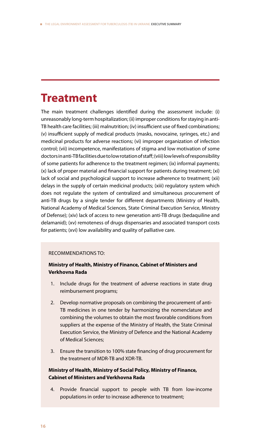## **Treatment**

The main treatment challenges identified during the assessment include: (i) unreasonably long-term hospitalization; (ii) improper conditions for staying in anti-TB health care facilities; (iii) malnutrition; (iv) insufficient use of fixed combinations; (v) insufficient supply of medical products (masks, novocaine, syringes, etc.) and medicinal products for adverse reactions; (vi) improper organization of infection control; (vii) incompetence, manifestations of stigma and low motivation of some doctors in anti-TB facilities due to low rotation of staff; (viii) low levels of responsibility of some patients for adherence to the treatment regimen; (ix) informal payments; (x) lack of proper material and financial support for patients during treatment; (xi) lack of social and psychological support to increase adherence to treatment; (xii) delays in the supply of certain medicinal products; (xiii) regulatory system which does not regulate the system of centralized and simultaneous procurement of anti-TB drugs by a single tender for different departments (Ministry of Health, National Academy of Medical Sciences, State Criminal Execution Service, Ministry of Defense); (xiv) lack of access to new generation anti-TB drugs (bedaquiline and delamanid); (xv) remoteness of drugs dispensaries and associated transport costs for patients; (xvi) low availability and quality of palliative care.

## RECOMMENDATIONS TO:

## **Ministry of Health, Ministry of Finance, Cabinet of Ministers and Verkhovna Rada**

- 1. Include drugs for the treatment of adverse reactions in state drug reimbursement programs;
- 2. Develop normative proposals on combining the procurement of anti-TB medicines in one tender by harmonizing the nomenclature and combining the volumes to obtain the most favorable conditions from suppliers at the expense of the Ministry of Health, the State Criminal Execution Service, the Ministry of Defence and the National Academy of Medical Sciences;
- 3. Ensure the transition to 100% state financing of drug procurement for the treatment of MDR-TB and XDR-TB.

## **Ministry of Health, Ministry of Social Policy, Ministry of Finance, Cabinet of Ministers and Verkhovna Rada**

Provide financial support to people with TB from low-income populations in order to increase adherence to treatment;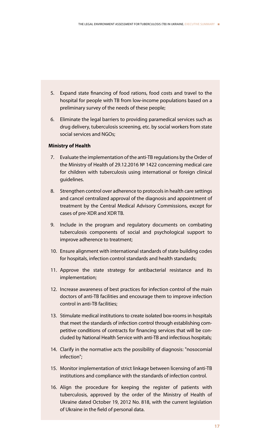- 5. Expand state financing of food rations, food costs and travel to the hospital for people with TB from low-income populations based on a preliminary survey of the needs of these people;
- 6. Eliminate the legal barriers to providing paramedical services such as drug delivery, tuberculosis screening, etc. by social workers from state social services and NGOs;

### **Ministry of Health**

- 7. Evaluate the implementation of the anti-TB regulations by the Order of the Ministry of Health of 29.12.2016 № 1422 concerning medical care for children with tuberculosis using international or foreign clinical guidelines.
- 8. Strengthen control over adherence to protocols in health care settings and cancel centralized approval of the diagnosis and appointment of treatment by the Central Medical Advisory Commissions, except for cases of pre-XDR and XDR TB.
- 9. Include in the program and regulatory documents on combating tuberculosis components of social and psychological support to improve adherence to treatment;
- 10. Ensure alignment with international standards of state building codes for hospitals, infection control standards and health standards;
- 11. Approve the state strategy for antibacterial resistance and its implementation;
- 12. Increase awareness of best practices for infection control of the main doctors of anti-TB facilities and encourage them to improve infection control in anti-TB facilities;
- 13. Stimulate medical institutions to create isolated box-rooms in hospitals that meet the standards of infection control through establishing competitive conditions of contracts for financing services that will be concluded by National Health Service with anti-TB and infectious hospitals;
- 14. Clarify in the normative acts the possibility of diagnosis: "nosocomial infection";
- 15. Monitor implementation of strict linkage between licensing of anti-TB institutions and compliance with the standards of infection control.
- 16. Align the procedure for keeping the register of patients with tuberculosis, approved by the order of the Ministry of Health of Ukraine dated October 19, 2012 No. 818, with the current legislation of Ukraine in the field of personal data.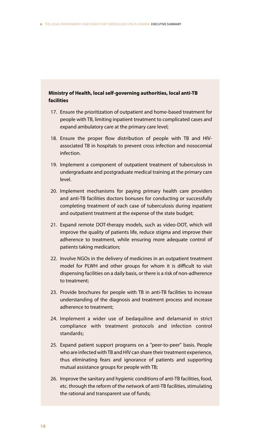## **Ministry of Health, local self-governing authorities, local anti-TB facilities**

- 17. Ensure the prioritization of outpatient and home-based treatment for people with TB, limiting inpatient treatment to complicated cases and expand ambulatory care at the primary care level;
- 18. Ensure the proper flow distribution of people with TB and HIVassociated TB in hospitals to prevent cross infection and nosocomial infection.
- 19. Implement a component of outpatient treatment of tuberculosis in undergraduate and postgraduate medical training at the primary care level.
- 20. Implement mechanisms for paying primary health care providers and anti-TB facilities doctors bonuses for conducting or successfully completing treatment of each case of tuberculosis during inpatient and outpatient treatment at the expense of the state budget;
- 21. Expand remote DOT-therapy models, such as video-DOT, which will improve the quality of patients life, reduce stigma and improve their adherence to treatment, while ensuring more adequate control of patients taking medication;
- 22. Involve NGOs in the delivery of medicines in an outpatient treatment model for PLWH and other groups for whom it is difficult to visit dispensing facilities on a daily basis, or there is a risk of non-adherence to treatment;
- 23. Provide brochures for people with TB in anti-TB facilities to increase understanding of the diagnosis and treatment process and increase adherence to treatment;
- 24. Implement a wider use of bedaquiline and delamanid in strict compliance with treatment protocols and infection control standards;
- 25. Expand patient support programs on a "peer-to-peer" basis. People who are infected with TB and HIV can share their treatment experience, thus eliminating fears and ignorance of patients and supporting mutual assistance groups for people with TB;
- 26. Improve the sanitary and hygienic conditions of anti-TB facilities, food, etc. through the reform of the network of anti-TB facilities, stimulating the rational and transparent use of funds;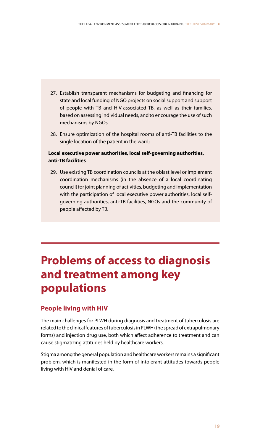- 27. Establish transparent mechanisms for budgeting and financing for state and local funding of NGO projects on social support and support of people with TB and HIV-associated TB, as well as their families, based on assessing individual needs, and to encourage the use of such mechanisms by NGOs.
- 28. Ensure optimization of the hospital rooms of anti-TB facilities to the single location of the patient in the ward;

## **Local executive power authorities, local self-governing authorities, anti-TB facilities**

29. Use existing TB coordination councils at the oblast level or implement coordination mechanisms (in the absence of a local coordinating council) for joint planning of activities, budgeting and implementation with the participation of local executive power authorities, local selfgoverning authorities, anti-TB facilities, NGOs and the community of people affected by TB.

## **Problems of access to diagnosis and treatment among key populations**

## **People living with HIV**

The main challenges for PLWH during diagnosis and treatment of tuberculosis are related to the clinical features of tuberculosis in PLWH (the spread of extrapulmonary forms) and injection drug use, both which affect adherence to treatment and can cause stigmatizing attitudes held by healthcare workers.

Stigma among the general population and healthcare workers remains a significant problem, which is manifested in the form of intolerant attitudes towards people living with HIV and denial of care.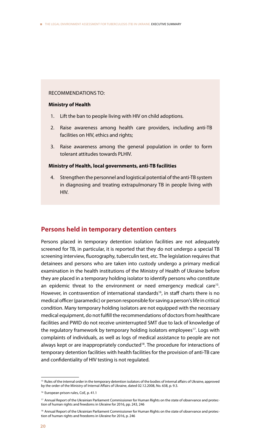#### RECOMMENDATIONS TO:

#### **Ministry of Health**

- 1. Lift the ban to people living with HIV on child adoptions.
- 2. Raise awareness among health care providers, including anti-TB facilities on HIV, ethics and rights;
- 3. Raise awareness among the general population in order to form tolerant attitudes towards PLHIV.

## **Ministry of Health, local governments, anti-TB facilities**

4. Strengthen the personnel and logistical potential of the anti-TB system in diagnosing and treating extrapulmonary TB in people living with HIV.

## **Persons held in temporary detention centers**

Persons placed in temporary detention isolation facilities are not adequately screened for TB, in particular, it is reported that they do not undergo a special TB screening interview, fluorography, tuberculin test, etc. The legislation requires that detainees and persons who are taken into custody undergo a primary medical examination in the health institutions of the Ministry of Health of Ukraine before they are placed in a temporary holding isolator to identify persons who constitute an epidemic threat to the environment or need emergency medical care<sup>15</sup>. However, in contravention of international standards<sup>16</sup>, in staff charts there is no medical officer (paramedic) or person responsible for saving a person's life in critical condition. Many temporary holding isolators are not equipped with the necessary medical equipment, do not fulfill the recommendations of doctors from healthcare facilities and PWID do not receive uninterrupted SMT due to lack of knowledge of the regulatory framework by temporary holding isolators employees<sup>17</sup>. Logs with complaints of individuals, as well as logs of medical assistance to people are not always kept or are inappropriately conducted<sup>18</sup>. The procedure for interactions of temporary detention facilities with health facilities for the provision of anti-TB care and confidentiality of HIV testing is not regulated.

<sup>&</sup>lt;sup>15</sup> Rules of the internal order in the temporary detention isolators of the bodies of internal affairs of Ukraine, approved by the order of the Ministry of Internal Affairs of Ukraine, dated 02.12.2008, No. 638, p. 9.3.

<sup>&</sup>lt;sup>16</sup> European prison rules, CoE, p. 41.1

<sup>17</sup> Annual Report of the Ukrainian Parliament Commissioner for Human Rights on the state of observance and protection of human rights and freedoms in Ukraine for 2016, pp. 243, 246

<sup>&</sup>lt;sup>18</sup> Annual Report of the Ukrainian Parliament Commissioner for Human Rights on the state of observance and protection of human rights and freedoms in Ukraine for 2016, p. 246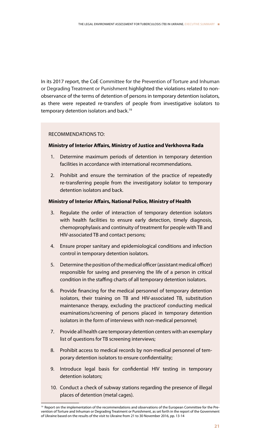In its 2017 report, the CoE Committee for the Prevention of Torture and Inhuman or Degrading Treatment or Punishment highlighted the violations related to nonobservance of the terms of detention of persons in temporary detention isolators, as there were repeated re-transfers of people from investigative isolators to temporary detention isolators and back.<sup>19</sup>

## RECOMMENDATIONS TO:

## **Ministry of Interior Affairs, Ministry of Justice and Verkhovna Rada**

- 1. Determine maximum periods of detention in temporary detention facilities in accordance with international recommendations.
- 2. Prohibit and ensure the termination of the practice of repeatedly re-transferring people from the investigatory isolator to temporary detention isolators and back.

## **Ministry of Interior Affairs, National Police, Ministry of Health**

- 3. Regulate the order of interaction of temporary detention isolators with health facilities to ensure early detection, timely diagnosis, chemoprophylaxis and continuity of treatment for people with TB and HIV-associated TB and contact persons;
- 4. Ensure proper sanitary and epidemiological conditions and infection control in temporary detention isolators.
- 5. Determine the position of the medical officer (assistant medical officer) responsible for saving and preserving the life of a person in critical condition in the staffing charts of all temporary detention isolators.
- 6. Provide financing for the medical personnel of temporary detention isolators, their training on TB and HIV-associated TB, substitution maintenance therapy, excluding the practiceof conducting medical examinations/screening of persons placed in temporary detention isolators in the form of interviews with non-medical personnel;
- 7. Provide all health care temporary detention centers with an exemplary list of questions for TB screening interviews;
- 8. Prohibit access to medical records by non-medical personnel of temporary detention isolators to ensure confidentiality;
- 9. Introduce legal basis for confidential HIV testing in temporary detention isolators;
- 10. Conduct a check of subway stations regarding the presence of illegal places of detention (metal cages).

<sup>&</sup>lt;sup>19</sup> Report on the implementation of the recommendations and observations of the European Committee for the Prevention of Torture and Inhuman or Degrading Treatment or Punishment, as set forth in the report of the Government of Ukraine based on the results of the visit to Ukraine from 21 to 30 November 2016, pp. 13-14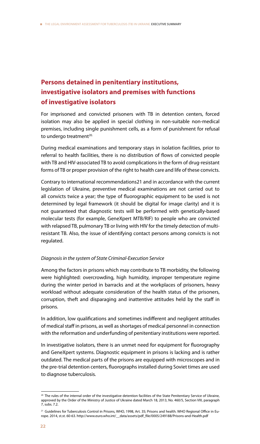## **Persons detained in penitentiary institutions, investigative isolators and premises with functions of investigative isolators**

For imprisoned and convicted prisoners with TB in detention centers, forced isolation may also be applied in special clothing in non-suitable non-medical premises, including single punishment cells, as a form of punishment for refusal to undergo treatment<sup>20.</sup>

During medical examinations and temporary stays in isolation facilities, prior to referral to health facilities, there is no distribution of flows of convicted people with TB and HIV-associated TB to avoid complications in the form of drug-resistant forms of TB or proper provision of the right to health care and life of these convicts.

Contrary to international recommendations21 and in accordance with the current legislation of Ukraine, preventive medical examinations are not carried out to all convicts twice a year; the type of fluorographic equipment to be used is not determined by legal framework (it should be digital for image clarity) and it is not guaranteed that diagnostic tests will be performed with genetically-based molecular tests (for example, GeneXpert MTB/RIF) to people who are convicted with relapsed TB, pulmonary TB or living with HIV for the timely detection of multiresistant TB. Also, the issue of identifying contact persons among convicts is not regulated.

## *Diagnosis in the system of State Criminal-Execution Service*

Among the factors in prisons which may contribute to TB morbidity, the following were highlighted: overcrowding, high humidity, improper temperature regime during the winter period in barracks and at the workplaces of prisoners, heavy workload without adequate consideration of the health status of the prisoners, corruption, theft and disparaging and inattentive attitudes held by the staff in prisons.

In addition, low qualifications and sometimes indifferent and negligent attitudes of medical staff in prisons, as well as shortages of medical personnel in connection with the reformation and underfunding of penitentiary institutions were reported.

In investigative isolators, there is an unmet need for equipment for fluorography and GeneXpert systems. Diagnostic equipment in prisons is lacking and is rather outdated. The medical parts of the prisons are equipped with microscopes and in the pre-trial detention centers, fluorographs installed during Soviet times are used to diagnose tuberculosis.

<sup>&</sup>lt;sup>20</sup> The rules of the internal order of the investigative detention facilities of the State Penitentiary Service of Ukraine, approved by the Order of the Ministry of Justice of Ukraine dated March 18, 2013, No. 460/5, Section VІІІ, paragraph 7, subs. 7.2.

<sup>&</sup>lt;sup>21</sup> Guidelines for Tuberculosis Control in Prisons, WHO, 1998, Art. 35; Prisons and health. WHO Regional Office in Europe. 2014, st.st. 60-63. http://www.euro.who.int/\_\_data/assets/pdf\_file/0005/249188/Prisons-and-Health.pdf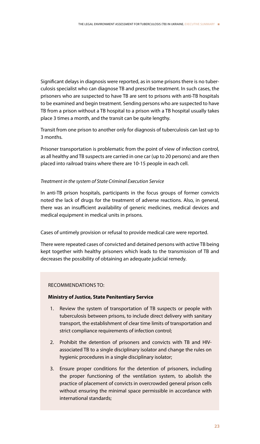Significant delays in diagnosis were reported, as in some prisons there is no tuberculosis specialist who can diagnose TB and prescribe treatment. In such cases, the prisoners who are suspected to have TB are sent to prisons with anti-TB hospitals to be examined and begin treatment. Sending persons who are suspected to have TB from a prison without a TB hospital to a prison with a TB hospital usually takes place 3 times a month, and the transit can be quite lengthy.

Transit from one prison to another only for diagnosis of tuberculosis can last up to 3 months.

Prisoner transportation is problematic from the point of view of infection control, as all healthy and TB suspects are carried in one car (up to 20 persons) and are then placed into railroad trains where there are 10-15 people in each cell.

## *Treatment in the system of State Criminal Execution Service*

In anti-TB prison hospitals, participants in the focus groups of former convicts noted the lack of drugs for the treatment of adverse reactions. Also, in general, there was an insufficient availability of generic medicines, medical devices and medical equipment in medical units in prisons.

Cases of untimely provision or refusal to provide medical care were reported.

There were repeated cases of convicted and detained persons with active TB being kept together with healthy prisoners which leads to the transmission of TB and decreases the possibility of obtaining an adequate judicial remedy.

## RECOMMENDATIONS TO:

## **Ministry of Justice, State Penitentiary Service**

- 1. Review the system of transportation of TB suspects or people with tuberculosis between prisons, to include direct delivery with sanitary transport, the establishment of clear time limits of transportation and strict compliance requirements of infection control;
- 2. Prohibit the detention of prisoners and convicts with TB and HIVassociated TB to a single disciplinary isolator and change the rules on hygienic procedures in a single disciplinary isolator;
- 3. Ensure proper conditions for the detention of prisoners, including the proper functioning of the ventilation system, to abolish the practice of placement of convicts in overcrowded general prison cells without ensuring the minimal space permissible in accordance with international standards;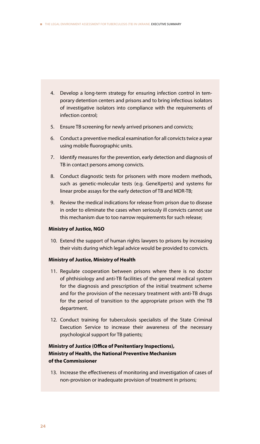- 4. Develop a long-term strategy for ensuring infection control in temporary detention centers and prisons and to bring infectious isolators of investigative isolators into compliance with the requirements of infection control;
- 5. Ensure TB screening for newly arrived prisoners and convicts;
- 6. Conduct a preventive medical examination for all convicts twice a year using mobile fluorographic units.
- 7. Identify measures for the prevention, early detection and diagnosis of TB in contact persons among convicts.
- 8. Conduct diagnostic tests for prisoners with more modern methods, such as genetic-molecular tests (e.g. GeneXperts) and systems for linear probe assays for the early detection of TB and MDR-TB;
- 9. Review the medical indications for release from prison due to disease in order to eliminate the cases when seriously ill convicts cannot use this mechanism due to too narrow requirements for such release;

## **Ministry of Justice, NGO**

10. Extend the support of human rights lawyers to prisons by increasing their visits during which legal advice would be provided to convicts.

## **Ministry of Justice, Ministry of Health**

- 11. Regulate cooperation between prisons where there is no doctor of phthisiology and anti-TB facilities of the general medical system for the diagnosis and prescription of the initial treatment scheme and for the provision of the necessary treatment with anti-TB drugs for the period of transition to the appropriate prison with the TB department.
- 12. Conduct training for tuberculosis specialists of the State Criminal Execution Service to increase their awareness of the necessary psychological support for TB patients;

## **Ministry of Justice (Office of Penitentiary Inspections), Ministry of Health, the National Preventive Mechanism of the Commissioner**

13. Increase the effectiveness of monitoring and investigation of cases of non-provision or inadequate provision of treatment in prisons;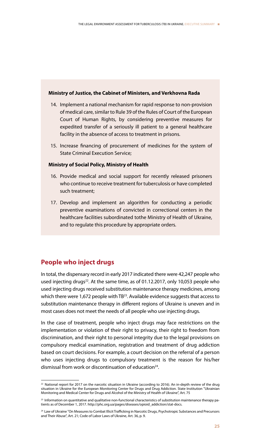#### **Ministry of Justice, the Cabinet of Ministers, and Verkhovna Rada**

- 14. Implement a national mechanism for rapid response to non-provision of medical care, similar to Rule 39 of the Rules of Court of the European Court of Human Rights, by considering preventive measures for expedited transfer of a seriously ill patient to a general healthcare facility in the absence of access to treatment in prisons.
- 15. Increase financing of procurement of medicines for the system of State Criminal Execution Service;

## **Ministry of Social Policy, Ministry of Health**

- 16. Provide medical and social support for recently released prisoners who continue to receive treatment for tuberculosis or have completed such treatment;
- 17. Develop and implement an algorithm for conducting a periodic preventive examinations of convicted in correctional centers in the healthcare facilities subordinated tothe Ministry of Health of Ukraine, and to regulate this procedure by appropriate orders.

## **People who inject drugs**

In total, the dispensary record in early 2017 indicated there were 42,247 people who used injecting drugs<sup>22</sup>. At the same time, as of 01.12.2017, only 10,053 people who used injecting drugs received substitution maintenance therapy medicines, among which there were 1,672 people with TB<sup>23</sup>. Available evidence suggests that access to substitution maintenance therapy in different regions of Ukraine is uneven and in most cases does not meet the needs of all people who use injecting drugs.

In the case of treatment, people who inject drugs may face restrictions on the implementation or violation of their right to privacy, their right to freedom from discrimination, and their right to personal integrity due to the legal provisions on compulsory medical examination, registration and treatment of drug addiction based on court decisions. For example, a court decision on the referral of a person who uses injecting drugs to compulsory treatment is the reason for his/her dismissal from work or discontinuation of education<sup>24</sup>.

 $^{22}$  National report for 2017 on the narcotic situation in Ukraine (according to 2016). An in-depth review of the drug situation in Ukraine for the European Monitoring Center for Drugs and Drug Addiction. State Institution "Ukrainian Monitoring and Medical Center for Drugs and Alcohol of the Ministry of Health of Ukraine", Art. 75

<sup>&</sup>lt;sup>23</sup> Information on quantitative and qualitative non-functional characteristics of substitution maintenance therapy patients as of December 1, 2017. http://phc.org.ua/pages/diseases/opioid\_addiction/stat-docs.

<sup>&</sup>lt;sup>24</sup> Law of Ukraine "On Measures to Combat Illicit Trafficking in Narcotic Drugs, Psychotropic Substances and Precursors and Their Abuse", Art. 21; Code of Labor Laws of Ukraine, Art. 36, p. 9.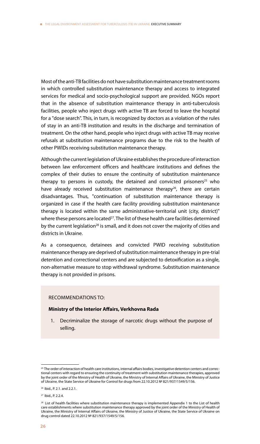Most of the anti-TB facilities do not have substitution maintenance treatment rooms in which controlled substitution maintenance therapy and access to integrated services for medical and socio-psychological support are provided. NGOs report that in the absence of substitution maintenance therapy in anti-tuberculosis facilities, people who inject drugs with active TB are forced to leave the hospital for a "dose search". This, in turn, is recognized by doctors as a violation of the rules of stay in an anti-TB institution and results in the discharge and termination of treatment. On the other hand, people who inject drugs with active TB may receive refusals at substitution maintenance programs due to the risk to the health of other PWIDs receiving substitution maintenance therapy.

Although the current legislation of Ukraine establishes the procedure of interaction between law enforcement officers and healthcare institutions and defines the complex of their duties to ensure the continuity of substitution maintenance therapy to persons in custody, the detained and convicted prisoners<sup>25</sup> who have already received substitution maintenance therapy<sup>26</sup>, there are certain disadvantages. Thus, "continuation of substitution maintenance therapy is organized in case if the health care facility providing substitution maintenance therapy is located within the same administrative-territorial unit (city, district)" where these persons are located<sup>27</sup>. The list of these health care facilities determined by the current legislation<sup>28</sup> is small, and it does not cover the majority of cities and districts in Ukraine.

As a consequence, detainees and convicted PWID receiving substitution maintenance therapy are deprived of substitution maintenance therapy in pre-trial detention and correctional centers and are subjected to detoxification as a single, non-alternative measure to stop withdrawal syndrome. Substitution maintenance therapy is not provided in prisons.

### RECOMMENDATIONS TO:

#### **Ministry of the Interior Affairs, Verkhovna Rada**

1. Decriminalize the storage of narcotic drugs without the purpose of selling.

<sup>&</sup>lt;sup>25</sup> The order of interaction of health care institutions, internal affairs bodies, investigative detention centers and correctional centers with regard to ensuring the continuity of treatment with substitution maintenance therapies, approved by the joint order of the Ministry of Health of Ukraine, the Ministry of Internal Affairs of Ukraine, the Ministry of Justice of Ukraine, the State Service of Ukraine for Control for drugs from 22.10.2012 № 821/937/1549/5/156.

<sup>26</sup> Ibid., P. 2.1. and 2.2.1.

<sup>27</sup> Ibid., P. 2.2.4.

<sup>&</sup>lt;sup>28</sup> List of health facilities where substitution maintenance therapy is implemented Appendix 1 to the List of health care establishments where substitution maintenance therapy approved by the joint order of the Ministry of Health of Ukraine, the Ministry of Internal Affairs of Ukraine, the Ministry of Justice of Ukraine, the State Service of Ukraine on drug control dated 22.10.2012 № 821/937/1549/5/156.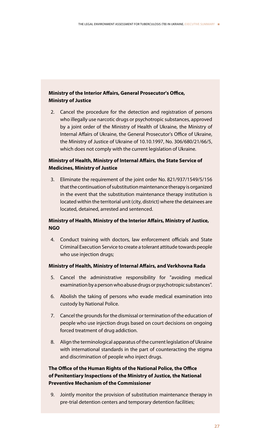## **Ministry of the Interior Affairs, General Prosecutor's Office, Ministry of Justice**

2. Cancel the procedure for the detection and registration of persons who illegally use narcotic drugs or psychotropic substances, approved by a joint order of the Ministry of Health of Ukraine, the Ministry of Internal Affairs of Ukraine, the General Prosecutor's Office of Ukraine, the Ministry of Justice of Ukraine of 10.10.1997, No. 306/680/21/66/5, which does not comply with the current legislation of Ukraine.

## **Ministry of Health, Ministry of Internal Affairs, the State Service of Medicines, Ministry of Justice**

3. Eliminate the requirement of the joint order No. 821/937/1549/5/156 that the continuation of substitution maintenance therapy is organized in the event that the substitution maintenance therapy institution is located within the territorial unit (city, district) where the detainees are located, detained, arrested and sentenced.

## **Ministry of Health, Ministry of the Interior Affairs, Ministry of Justice, NGO**

4. Conduct training with doctors, law enforcement officials and State Criminal Execution Service to create a tolerant attitude towards people who use injection drugs;

## **Ministry of Health, Ministry of Internal Affairs, and Verkhovna Rada**

- 5. Cancel the administrative responsibility for "avoiding medical examination by a person who abuse drugs or psychotropic substances".
- 6. Abolish the taking of persons who evade medical examination into custody by National Police.
- 7. Cancel the grounds for the dismissal or termination of the education of people who use injection drugs based on court decisions on ongoing forced treatment of drug addiction.
- 8. Align the terminological apparatus of the current legislation of Ukraine with international standards in the part of counteracting the stigma and discrimination of people who inject drugs.

## **The Office of the Human Rights of the National Police, the Office of Penitentiary Inspections of the Ministry of Justice, the National Preventive Mechanism of the Commissioner**

9. Jointly monitor the provision of substitution maintenance therapy in pre-trial detention centers and temporary detention facilities;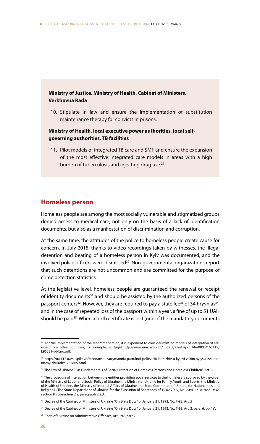## **Ministry of Justice, Ministry of Health, Cabinet of Ministers, Verkhovna Rada**

10. Stipulate in law and ensure the implementation of substitution maintenance therapy for convicts in prisons.

## **Ministry of Health, local executive power authorities, local selfgoverning authorities, TB facilities**

11. Pilot models of integrated TB care and SMT and ensure the expansion of the most effective integrated care models in areas with a high burden of tuberculosis and injecting drug use.<sup>29</sup>

## **Homeless person**

Homeless people are among the most socially vulnerable and stigmatized groups denied access to medical care, not only on the basis of a lack of identification documents, but also as a manifestation of discrimination and corruption.

At the same time, the attitudes of the police to homeless people create cause for concern. In July 2015, thanks to video recordings taken by witnesses, the illegal detention and beating of a homeless person in Kyiv was documented, and the involved police officers were dismissed<sup>30</sup>. Non-governmental organizations report that such detentions are not uncommon and are committed for the purpose of crime detection statistics.

At the legislative level, homeless people are guaranteed the renewal or receipt of identity documents<sup>31</sup> and should be assisted by the authorized persons of the passport centers<sup>32</sup>. However, they are required to pay a state fee<sup>33</sup> of 34 hryvnias<sup>34</sup>, and in the case of repeated loss of the passport within a year, a fine of up to 51 UAH should be paid<sup>35</sup>. When a birth certificate is lost (one of the mandatory documents

 $29$  For the implementation of the recommendation, it is expedient to consider existing models of integration of services from other countries, for example, Portugal http://www.euro.who.int/\_\_data/assets/pdf\_file/0005/165119/ E96531-v6-Eng.pdf.

<sup>30</sup> https://ua.112.ua/suspilstvo/rezonansni-zatrymannia-patrulnoi-politsiieiu-bomzhiv-u-kyievi-zakinchylysia-zvilnenniamy-zhuladze-262865.html.

<sup>&</sup>lt;sup>31</sup> The Law of Ukraine "On Fundamentals of Social Protection of Homeless Persons and Homeless Children", Art. 8.

<sup>&</sup>lt;sup>32</sup> The procedure of interaction between the entities providing social services to the homeless is approved by the order of the Ministry of Labor and Social Policy of Ukraine, the Ministry of Ukraine for Family, Youth and Sports, the Ministry of Health of Ukraine, the Ministry of Internal Affairs of Ukraine, the State Committee of Ukraine for Nationalities and Religions , The State Department of Ukraine for the Execution of Sentences of 19.02.2009, No. 70/411/101/65/19/32, section II, subsection 2.2, paragraph 2.2.3.

<sup>&</sup>lt;sup>33</sup> Decree of the Cabinet of Ministers of Ukraine "On State Duty" of January 21, 1993, No. 7-93, Art. 5

<sup>&</sup>lt;sup>34</sup> Decree of the Cabinet of Ministers of Ukraine "On State Duty" of January 21, 1993, No. 7-93, Art. 3, para. 6, pp. "a".

<sup>&</sup>lt;sup>35</sup> Code of Ukraine on Administrative Offenses, Art. 197, part 2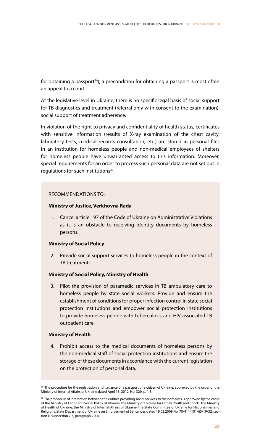for obtaining a passport<sup>36</sup>), a precondition for obtaining a passport is most often an appeal to a court.

At the legislative level in Ukraine, there is no specific legal basis of social support for TB diagnostics and treatment (referral only with consent to the examination), social support of treatment adherence.

In violation of the right to privacy and confidentiality of health status, certificates with sensitive information (results of X-ray examination of the chest cavity, laboratory tests, medical records consultation, etc.) are stored in personal files in an institution for homeless people and non-medical employees of shelters for homeless people have unwarranted access to this information. Moreover, special requirements for an order to process such personal data are not set out in regulations for such institutions<sup>37</sup>.

### RECOMMENDATIONS TO:

### **Ministry of Justice, Verkhovna Rada**

1. Cancel article 197 of the Code of Ukraine on Administrative Violations as it is an obstacle to receiving identity documents by homeless persons.

#### **Ministry of Social Policy**

2. Provide social support services to homeless people in the context of TB treatment;

## **Ministry of Social Policy, Ministry of Health**

3. Pilot the provision of paramedic services in TB ambulatory care to homeless people by state social workers. Provide and ensure the establishment of conditions for proper infection control in state social protection institutions and empower social protection institutions to provide homeless people with tuberculosis and HIV-associated TB outpatient care.

#### **Ministry of Health**

4. Prohibit access to the medical documents of homeless persons by the non-medical staff of social protection institutions and ensure the storage of these documents in accordance with the current legislation on the protection of personal data.

<sup>&</sup>lt;sup>36</sup> The procedure for the registration and issuance of a passport of a citizen of Ukraine, approved by the order of the Ministry of Internal Affairs of Ukraine dated April 13, 2012, No. 320, p. 1.3.

<sup>&</sup>lt;sup>37</sup> The procedure of interaction between the entities providing social services to the homeless is approved by the order of the Ministry of Labor and Social Policy of Ukraine, the Ministry of Ukraine for Family, Youth and Sports, the Ministry of Health of Ukraine, the Ministry of Internal Affairs of Ukraine, the State Committee of Ukraine for Nationalities and Religions, State Department of Ukraine on Enforcement of Sentences dated 19.02.2009 No. 70/411/101/65/19/32, section II, subsection 2.3, paragraph 2.3.4.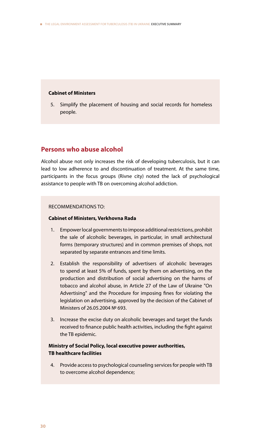### **Cabinet of Ministers**

5. Simplify the placement of housing and social records for homeless people.

## **Persons who abuse alcohol**

Alcohol abuse not only increases the risk of developing tuberculosis, but it can lead to low adherence to and discontinuation of treatment. At the same time, participants in the focus groups (Rivne city) noted the lack of psychological assistance to people with TB on overcoming alcohol addiction.

### RECOMMENDATIONS TO:

### **Cabinet of Ministers, Verkhovna Rada**

- 1. Empower local governments to impose additional restrictions, prohibit the sale of alcoholic beverages, in particular, in small architectural forms (temporary structures) and in common premises of shops, not separated by separate entrances and time limits.
- 2. Establish the responsibility of advertisers of alcoholic beverages to spend at least 5% of funds, spent by them on advertising, on the production and distribution of social advertising on the harms of tobacco and alcohol abuse, in Article 27 of the Law of Ukraine "On Advertising" and the Procedure for imposing fines for violating the legislation on advertising, approved by the decision of the Cabinet of Ministers of 26.05.2004 № 693.
- 3. Increase the excise duty on alcoholic beverages and target the funds received to finance public health activities, including the fight against the TB epidemic.

## **Ministry of Social Policy, local executive power authorities, TB healthcare facilities**

4. Provide access to psychological counseling services for people with TB to overcome alcohol dependence;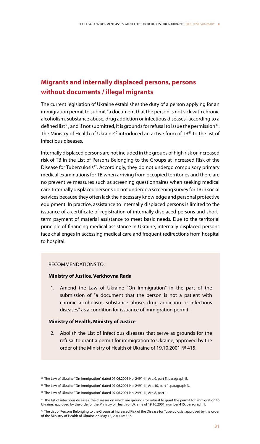## **Migrants and internally displaced persons, persons without documents / illegal migrants**

The current legislation of Ukraine establishes the duty of a person applying for an immigration permit to submit "a document that the person is not sick with chronic alcoholism, substance abuse, drug addiction or infectious diseases" according to a defined list<sup>38</sup>, and if not submitted, it is grounds for refusal to issue the permission<sup>39</sup>. The Ministry of Health of Ukraine<sup>40</sup> introduced an active form of TB<sup>41</sup> to the list of infectious diseases.

Internally displaced persons are not included in the groups of high risk or increased risk of TB in the List of Persons Belonging to the Groups at Increased Risk of the Disease for Tuberculosis<sup>42</sup>. Accordingly, they do not undergo compulsory primary medical examinations for TB when arriving from occupied territories and there are no preventive measures such as screening questionnaires when seeking medical care. Internally displaced persons do not undergo a screening survey for TB in social services because they often lack the necessary knowledge and personal protective equipment. In practice, assistance to internally displaced persons is limited to the issuance of a certificate of registration of internally displaced persons and shortterm payment of material assistance to meet basic needs. Due to the territorial principle of financing medical assistance in Ukraine, internally displaced persons face challenges in accessing medical care and frequent redirections from hospital to hospital.

## RECOMMENDATIONS TO:

#### **Ministry of Justice, Verkhovna Rada**

1. Amend the Law of Ukraine "On Immigration" in the part of the submission of "a document that the person is not a patient with chronic alcoholism, substance abuse, drug addiction or infectious diseases" as a condition for issuance of immigration permit.

### **Ministry of Health, Ministry of Justice**

2. Abolish the List of infectious diseases that serve as grounds for the refusal to grant a permit for immigration to Ukraine, approved by the order of the Ministry of Health of Ukraine of 19.10.2001 № 415.

<sup>&</sup>lt;sup>38</sup> The Law of Ukraine "On Immigration" dated 07.06.2001 No. 2491-III, Art. 9, part 5, paragraph 5.

<sup>&</sup>lt;sup>39</sup> The Law of Ukraine "On Immigration" dated 07.06.2001 No. 2491-III, Art. 10, part 1, paragraph 3.

<sup>40</sup> The Law of Ukraine "On Immigration" dated 07.06.2001 No. 2491-III, Art. 8, part 1

<sup>41</sup> The list of infectious diseases, the diseases on which are grounds for refusal to grant the permit for immigration to Ukraine, approved by the order of the Ministry of Health of Ukraine of 19.10.2001, number 415, paragraph 1.

<sup>&</sup>lt;sup>42</sup> The List of Persons Belonging to the Groups at Increased Risk of the Disease for Tuberculosis, approved by the order of the Ministry of Health of Ukraine on May 15, 2014 № 327.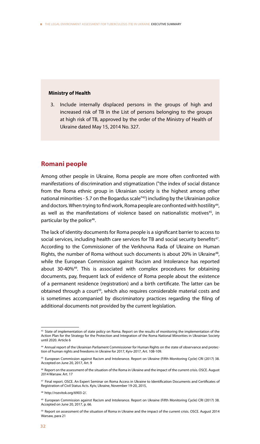#### **Ministry of Health**

3. Include internally displaced persons in the groups of high and increased risk of TB in the List of persons belonging to the groups at high risk of TB, approved by the order of the Ministry of Health of Ukraine dated May 15, 2014 No. 327.

## **Romani people**

Among other people in Ukraine, Roma people are more often confronted with manifestations of discrimination and stigmatization ("the index of social distance from the Roma ethnic group in Ukrainian society is the highest among other national minorities - 5.7 on the Bogardus scale"43) including by the Ukrainian police and doctors. When trying to find work, Roma people are confronted with hostility<sup>44</sup>, as well as the manifestations of violence based on nationalistic motives<sup>45</sup>, in particular by the police<sup>46</sup>.

The lack of identity documents for Roma people is a significant barrier to access to social services, including health care services for TB and social security benefits<sup>47</sup>. According to the Commissioner of the Verkhovna Rada of Ukraine on Human Rights, the number of Roma without such documents is about 20% in Ukraine<sup>48</sup>, while the European Commission against Racism and Intolerance has reported about 30-40%49. This is associated with complex procedures for obtaining documents, pay, frequent lack of evidence of Roma people about the existence of a permanent residence (registration) and a birth certificate. The latter can be obtained through a court<sup>50</sup>, which also requires considerable material costs and is sometimes accompanied by discriminatory practices regarding the filing of additional documents not provided by the current legislation.

<sup>43</sup> State of implementation of state policy on Roma. Report on the results of monitoring the implementation of the Action Plan for the Strategy for the Protection and Integration of the Roma National Minorities in Ukrainian Society until 2020. Article 6

<sup>44</sup> Annual report of the Ukrainian Parliament Commissioner for Human Rights on the state of observance and protection of human rights and freedoms in Ukraine for 2017, Kyiv-2017, Art. 108-109.

<sup>45</sup> European Commission against Racism and Intolerance. Report on Ukraine (Fifth Monitoring Cycle) CRI (2017) 38. Accepted on June 20, 2017, Art. 9

<sup>46</sup> Report on the assessment of the situation of the Roma in Ukraine and the impact of the current crisis. OSCE. August 2014 Warsaw. Art. 17

<sup>47</sup> Final report. OSCE. An Expert Seminar on Roma Access in Ukraine to Identification Documents and Certificates of Registration of Civil Status Acts. Kyiv, Ukraine, November 19-20, 2015,

<sup>48</sup> http://rozvitok.org/6903-2/.

<sup>49</sup> European Commission against Racism and Intolerance. Report on Ukraine (Fifth Monitoring Cycle) CRI (2017) 38. Accepted on June 20, 2017, p. 66.

<sup>50</sup> Report on assessment of the situation of Roma in Ukraine and the impact of the current crisis. OSCE. August 2014 Warsaw, para 21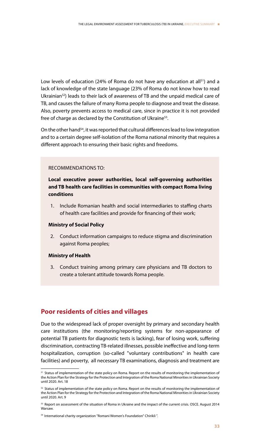Low levels of education (24% of Roma do not have any education at all<sup>51</sup>) and a lack of knowledge of the state language (23% of Roma do not know how to read Ukrainian<sup>52</sup>) leads to their lack of awareness of TB and the unpaid medical care of TB, and causes the failure of many Roma people to diagnose and treat the disease. Also, poverty prevents access to medical care, since in practice it is not provided free of charge as declared by the Constitution of Ukraine<sup>53</sup>.

On the other hand<sup>54</sup>, it was reported that cultural differences lead to low integration and to a certain degree self-isolation of the Roma national minority that requires a different approach to ensuring their basic rights and freedoms.

### RECOMMENDATIONS TO:

**Local executive power authorities, local self-governing authorities and TB health care facilities in communities with compact Roma living conditions**

1. Include Romanian health and social intermediaries to staffing charts of health care facilities and provide for financing of their work;

#### **Ministry of Social Policy**

2. Conduct information campaigns to reduce stigma and discrimination against Roma peoples;

#### **Ministry of Health**

3. Conduct training among primary care physicians and TB doctors to create a tolerant attitude towards Roma people.

## **Poor residents of cities and villages**

Due to the widespread lack of proper oversight by primary and secondary health care institutions (the monitoring/reporting systems for non-appearance of potential TB patients for diagnostic tests is lacking), fear of losing work, suffering discrimination, contracting TB-related illnesses, possible ineffective and long-term hospitalization, corruption (so-called "voluntary contributions" in health care facilities) and poverty, all necessary TB examinations, diagnosis and treatment are

<sup>&</sup>lt;sup>51</sup> Status of implementation of the state policy on Roma. Report on the results of monitoring the implementation of the Action Plan for the Strategy for the Protection and Integration of the Roma National Minorities in Ukrainian Society until 2020. Art. 18

<sup>52</sup> Status of implementation of the state policy on Roma. Report on the results of monitoring the implementation of the Action Plan for the Strategy for the Protection and Integration of the Roma National Minorities in Ukrainian Society until 2020. Art. 9

<sup>53</sup> Report on assessment of the situation of Roma in Ukraine and the impact of the current crisis. OSCE. August 2014 Warsaw.

<sup>54</sup> International charity organization "Romani Women's Foundation" Chirikli ".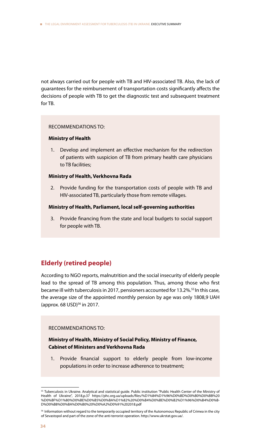not always carried out for people with TB and HIV-associated TB. Also, the lack of guarantees for the reimbursement of transportation costs significantly affects the decisions of people with TB to get the diagnostic test and subsequent treatment for TB.

## RECOMMENDATIONS TO:

## **Ministry of Health**

1. Develop and implement an effective mechanism for the redirection of patients with suspicion of TB from primary health care physicians to TB facilities;

## **Ministry of Health, Verkhovna Rada**

2. Provide funding for the transportation costs of people with TB and HIV-associated TB, particularly those from remote villages.

### **Ministry of Health, Parliament, local self-governing authorities**

3. Provide financing from the state and local budgets to social support for people with TB.

## **Elderly (retired people)**

According to NGO reports, malnutrition and the social insecurity of elderly people lead to the spread of TB among this population. Thus, among those who first became ill with tuberculosis in 2017, pensioners accounted for 13.2%.<sup>55</sup> In this case, the average size of the appointed monthly pension by age was only 1808,9 UAH (approx. 68 USD) 56 in 2017.

## RECOMMENDATIONS TO:

## **Ministry of Health, Ministry of Social Policy, Ministry of Finance, Cabinet of Ministers and Verkhovna Rada**

1. Provide financial support to elderly people from low-income populations in order to increase adherence to treatment;

<sup>55</sup> Tuberculosis in Ukraine. Analytical and statistical guide. Public institution "Public Health Center of the Ministry of Health of Ukraine", 2018,p.37 https://phc.org.ua/uploads/files/%D1%84%D1%96%D0%BD%D0%B0%D0%BB%20 %D0%BF%D1%80%D0%BE%D0%B5%D0%BA%D1%82%20%D0%B4%D0%BE%D0%B2%D1%96%D0%B4%D0%B-D%D0%B8%D0%BA%D0%B0%20%D0%A2%D0%91%202018.pdf

<sup>56</sup> Information without regard to the temporarily occupied territory of the Autonomous Republic of Crimea in the city of Sevastopol and part of the zone of the anti-terrorist operation. http://www.ukrstat.gov.ua/.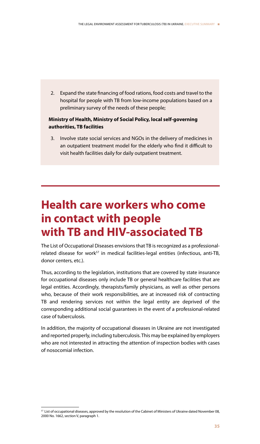2. Expand the state financing of food rations, food costs and travel to the hospital for people with TB from low-income populations based on a preliminary survey of the needs of these people;

## **Ministry of Health, Ministry of Social Policy, local self-governing authorities, TB facilities**

3. Involve state social services and NGOs in the delivery of medicines in an outpatient treatment model for the elderly who find it difficult to visit health facilities daily for daily outpatient treatment.

## **Health care workers who come in contact with people with TB and HIV-associated TB**

The List of Occupational Diseases envisions that TB is recognized as a professionalrelated disease for work<sup>57</sup> in medical facilities-legal entities (infectious, anti-TB, donor centers, etc.).

Thus, according to the legislation, institutions that are covered by state insurance for occupational diseases only include TB or general healthcare facilities that are legal entities. Accordingly, therapists/family physicians, as well as other persons who, because of their work responsibilities, are at increased risk of contracting TB and rendering services not within the legal entity are deprived of the corresponding additional social guarantees in the event of a professional-related case of tuberculosis.

In addition, the majority of occupational diseases in Ukraine are not investigated and reported properly, including tuberculosis. This may be explained by employers who are not interested in attracting the attention of inspection bodies with cases of nosocomial infection.

<sup>&</sup>lt;sup>57</sup> List of occupational diseases, approved by the resolution of the Cabinet of Ministers of Ukraine dated November 08, 2000 No. 1662, section V, paragraph 1.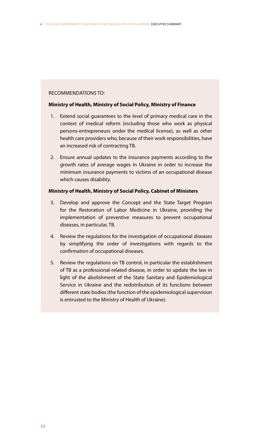### RECOMMENDATIONS TO:

## **Ministry of Health, Ministry of Social Policy, Ministry of Finance**

- 1. Extend social guarantees to the level of primary medical care in the context of medical reform (including those who work as physical persons-entrepreneurs under the medical license), as well as other health care providers who, because of their work responsibilities, have an increased risk of contracting TB.
- 2. Ensure annual updates to the insurance payments according to the growth rates of average wages in Ukraine in order to increase the minimum insurance payments to victims of an occupational disease which causes disability.

## **Ministry of Health, Ministry of Social Policy, Cabinet of Ministers**

- 3. Develop and approve the Concept and the State Target Program for the Restoration of Labor Medicine in Ukraine, providing the implementation of preventive measures to prevent occupational diseases, in particular, TB.
- 4. Review the regulations for the investigation of occupational diseases by simplifying the order of investigations with regards to the confirmation of occupational diseases.
- 5. Review the regulations on TB control, in particular the establishment of TB as a professional-related disease, in order to update the law in light of the abolishment of the State Sanitary and Epidemiological Service in Ukraine and the redistribution of its functions between different state bodies (the function of the epidemiological supervision is entrusted to the Ministry of Health of Ukraine).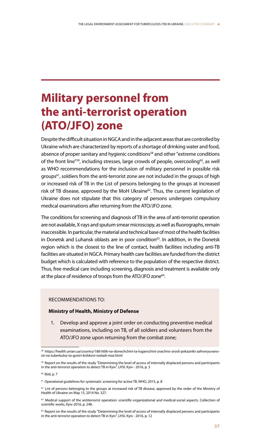## **Military personnel from the anti-terrorist operation (ATO/JFO) zone**

Despite the difficult situation in NGCA and in the adjacent areas that are controlled by Ukraine which are characterized by reports of a shortage of drinking water and food, absence of proper sanitary and hygienic conditions<sup>58</sup> and other "extreme conditions of the front line"<sup>59</sup>, including stresses, large crowds of people, overcooling<sup>60</sup>, as well as WHO recommendations for the inclusion of military personnel in possible risk groups<sup>61</sup>, soldiers from the anti-terrorist zone are not included in the groups of high or increased risk of TB in the List of persons belonging to the groups at increased risk of TB disease, approved by the MoH Ukraine<sup>62</sup>. Thus, the current legislation of Ukraine does not stipulate that this category of persons undergoes compulsory medical examinations after returning from the ATO/JFO zone.

The conditions for screening and diagnosis of TB in the area of anti-terrorist operation are not available, X-rays and sputum smear microscopy, as well as fluorographs, remain inaccessible. In particular, the material and technical base of most of the health facilities in Donetsk and Luhansk oblasts are in poor condition<sup>63</sup>. In addition, in the Donetsk region which is the closest to the line of contact, health facilities including anti-TB facilities are situated in NGCA. Primary health care facilities are funded from the district budget which is calculated with reference to the population of the respective district. Thus, free medical care including screening, diagnosis and treatment is available only at the place of residence of troops from the ATO/JFO zone<sup>64</sup>.

## RECOMMENDATIONS TO:

## **Ministry of Health, Ministry of Defense**

1. Develop and approve a joint order on conducting preventive medical examinations, including on TB, of all soldiers and volunteers from the ATO/JFO zone upon returning from the combat zone;

<sup>58</sup> https://health.unian.ua/country/1861606-na-donechchini-ta-luganschini-znachno-zrosli-pokazniki-zahvoryuvanosti-na-tuberkuloz-ta-gostri-kishkovi-rozladi-moz.html

<sup>59</sup> Report on the results of the study "Determining the level of access of internally displaced persons and participants in the anti-terrorist operation to detect TB in Kyiv". LHSI. Kyiv - 2016, p. 3

<sup>60</sup> Ibid, p. 7

<sup>&</sup>lt;sup>61</sup> Operational guidelines for systematic screening for active TB, WHO, 2015, p. 8

<sup>&</sup>lt;sup>62</sup> List of persons belonging to the groups at increased risk of TB disease, approved by the order of the Ministry of Health of Ukraine on May 15, 2014 No. 327.

<sup>&</sup>lt;sup>63</sup> Medical support of the antiterrorist operation: scientific-organizational and medical-social aspects. Collection of scientific works, Kyiv-2016, p. 248.

<sup>&</sup>lt;sup>64</sup> Report on the results of the study "Determining the level of access of internally displaced persons and participants in the anti-terrorist operation to detect TB in Kyiv". LHSI. Kyiv - 2016, p. 12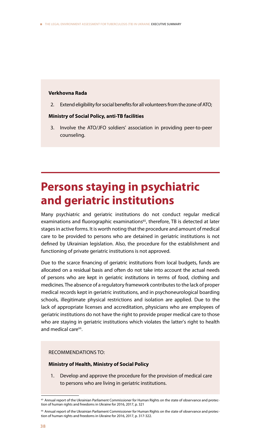#### **Verkhovna Rada**

2. Extend eligibility for social benefits for all volunteers from the zone of ATO;

### **Ministry of Social Policy, anti-TB facilities**

3. Involve the ATO/JFO soldiers' association in providing peer-to-peer counseling.

## **Persons staying in psychiatric and geriatric institutions**

Many psychiatric and geriatric institutions do not conduct regular medical examinations and fluorographic examinations<sup>65</sup>, therefore, TB is detected at later stages in active forms. It is worth noting that the procedure and amount of medical care to be provided to persons who are detained in geriatric institutions is not defined by Ukrainian legislation. Also, the procedure for the establishment and functioning of private geriatric institutions is not approved.

Due to the scarce financing of geriatric institutions from local budgets, funds are allocated on a residual basis and often do not take into account the actual needs of persons who are kept in geriatric institutions in terms of food, clothing and medicines. The absence of a regulatory framework contributes to the lack of proper medical records kept in geriatric institutions, and in psychoneurological boarding schools, illegitimate physical restrictions and isolation are applied. Due to the lack of appropriate licenses and accreditation, physicians who are employees of geriatric institutions do not have the right to provide proper medical care to those who are staying in geriatric institutions which violates the latter's right to health and medical care<sup>66</sup>

#### RECOMMENDATIONS TO:

#### **Ministry of Health, Ministry of Social Policy**

Develop and approve the procedure for the provision of medical care to persons who are living in geriatric institutions.

<sup>&</sup>lt;sup>65</sup> Annual report of the Ukrainian Parliament Commissioner for Human Rights on the state of observance and protection of human rights and freedoms in Ukraine for 2016, 2017, p. 321

<sup>66</sup> Annual report of the Ukrainian Parliament Commissioner for Human Rights on the state of observance and protection of human rights and freedoms in Ukraine for 2016, 2017, p. 317-322.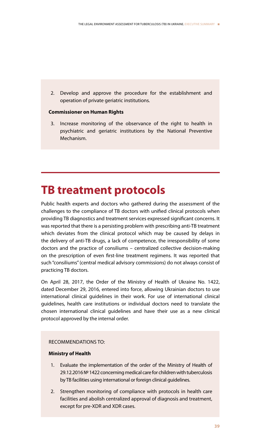2. Develop and approve the procedure for the establishment and operation of private geriatric institutions.

## **Commissioner on Human Rights**

3. Increase monitoring of the observance of the right to health in psychiatric and geriatric institutions by the National Preventive Mechanism.

## **TB treatment protocols**

Public health experts and doctors who gathered during the assessment of the challenges to the compliance of TB doctors with unified clinical protocols when providing TB diagnostics and treatment services expressed significant concerns. It was reported that there is a persisting problem with prescribing anti-TB treatment which deviates from the clinical protocol which may be caused by delays in the delivery of anti-TB drugs, a lack of competence, the irresponsibility of some doctors and the practice of consiliums – centralized collective decision-making on the prescription of even first-line treatment regimens. It was reported that such "consiliums" (central medical advisory commissions) do not always consist of practicing TB doctors.

On April 28, 2017, the Order of the Ministry of Health of Ukraine No. 1422, dated December 29, 2016, entered into force, allowing Ukrainian doctors to use international clinical guidelines in their work. For use of international clinical guidelines, health care institutions or individual doctors need to translate the chosen international clinical guidelines and have their use as a new clinical protocol approved by the internal order.

## RECOMMENDATIONS TO:

## **Ministry of Health**

- 1. Evaluate the implementation of the order of the Ministry of Health of 29.12.2016 № 1422 concerning medical care for children with tuberculosis by TB facilities using international or foreign clinical guidelines.
- 2. Strengthen monitoring of compliance with protocols in health care facilities and abolish centralized approval of diagnosis and treatment, except for pre-XDR and XDR cases.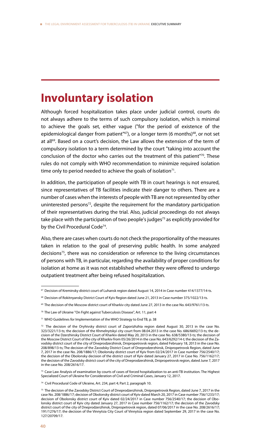## **Involuntary isolation**

Although forced hospitalization takes place under judicial control, courts do not always adhere to the terms of such compulsory isolation, which is minimal to achieve the goals set, either vague ("for the period of existence of the epidemiological danger from patient" $67$ ), or a longer term (6 months) $68$ , or not set at all<sup>69</sup>. Based on a court's decision, the Law allows the extension of the term of compulsory isolation to a term determined by the court "taking into account the conclusion of the doctor who carries out the treatment of this patient" $70$ . These rules do not comply with WHO recommendation to minimize required isolation time only to period needed to achieve the goals of isolation $71$ .

In addition, the participation of people with TB in court hearings is not ensured, since representatives of TB facilities indicate their danger to others. There are a number of cases when the interests of people with TB are not represented by other uninterested persons<sup>72</sup>, despite the requirement for the mandatory participation of their representatives during the trial. Also, judicial proceedings do not always take place with the participation of two people's judges $73$  as explicitly provided for by the Civil Procedural Code<sup>74</sup>.

Also, there are cases when courts do not check the proportionality of the measures taken in relation to the goal of preserving public health. In some analyzed decisions<sup>75</sup>, there was no consideration or reference to the living circumstances of persons with TB, in particular, regarding the availability of proper conditions for isolation at home as it was not established whether they were offered to undergo outpatient treatment after being refused hospitalization.

 $67$  Decision of Kreminsky district court of Luhansk region dated August 14, 2014 in Case number 414/1377/14-ts.

<sup>68</sup> Decision of Rokitnyansky District Court of Kyiv Region dated June 21, 2013 in Case number 375/1022/13-ts.

<sup>&</sup>lt;sup>69</sup> The decision of the Moscow district court of Kharkiv city dated June 27, 2013 in the case No. 643/9761/13-ts.

<sup>70</sup> The Law of Ukraine "On Fight against Tuberculosis Disease", Art. 11, part 4

<sup>71</sup> WHO Guidelines for Implementation of the WHO Strategy to End TB, p. 38

 $72$  The decision of the Oryhivsky district court of Zaporizhzhia region dated August 30, 2013 in the case No. 323/3221/13-ts; the decision of the Khmelnytskyi city court from 08.04.2013 in the case No. 686/6692/13-ts; the decision of the Dzerzhinsky District Court of Kharkiv dated May 20, 2013 in the case No. 638/5380/13-ts; the decision of the Moscow District Court of the city of Kharkiv from 05/26/2014 in the case No. 643/6292/14-t; the decision of the Zavodsky district court of the city of Dneprodzerzhinsk, Dnipropetrovsk region, dated February 18, 2013 in the case No. 208/898/13-ts; The decision of the Zavodsky District Court of Dneprodzerzhinsk, Dnipropetrovsk Region, dated June 7, 2017 in the case No. 208/1886/17; Obolonsky district court of Kyiv from 02/24/2017 in Case number 756/2540/17; the decision of the Obolonsky decision of the district court of Kyiv dated January 27, 2017 in Case No. 756/1162/17; the decision of the Zavodsky district court of the city of Dneprodzerzhinsk, Dnipropetrovsk region, dated June 7, 2017 in the case No. 208/2616/17.

<sup>&</sup>lt;sup>73</sup> Case Law Analysis of examination by courts of cases of forced hospitalization to an anti-TB institution. The Highest Specialized Court of Ukraine for Consideration of Civil and Criminal Cases, January 12, 2017.

<sup>74</sup> Civil Procedural Code of Ukraine, Art. 234, part 4; Part 2, paragraph 10.

<sup>75</sup> The decision of the Zavodsky District Court of Dneprodzerzhinsk, Dnipropetrovsk Region, dated June 7, 2017 in the case No. 208/1886/17; decision of Obolonsky district court of Kyiv dated March 20, 2017 in Case number 756/1233/17; decision of Obolonsky district court of Kyiv dated 02/24/2017 in Case number 756/2540/17; the decision of Obolonsky district court of Kyiv city dated January 27, 2017 in Case number 756/1162/17; the decision of the Zavodsky district court of the city of Dneprodzerzhinsk, Dnipropetrovsk region, dated 07/06/2017 in the case No. 208/2616/17; 191/1276/17; the decision of the Vinnytsia City Court of Vinnytsia region dated September 29, 2017 in the case No. 127/20709/17.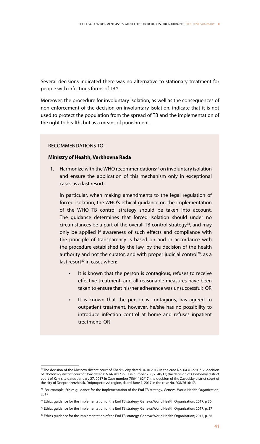Several decisions indicated there was no alternative to stationary treatment for people with infectious forms of TB<sup>76</sup>.

Moreover, the procedure for involuntary isolation, as well as the consequences of non-enforcement of the decision on involuntary isolation, indicate that it is not used to protect the population from the spread of TB and the implementation of the right to health, but as a means of punishment.

#### RECOMMENDATIONS TO:

#### **Ministry of Health, Verkhovna Rada**

1. Harmonize with the WHO recommendations<sup>77</sup> on involuntary isolation and ensure the application of this mechanism only in exceptional cases as a last resort;

In particular, when making amendments to the legal regulation of forced isolation, the WHO's ethical guidance on the implementation of the WHO TB control strategy should be taken into account. The guidance determines that forced isolation should under no circumstances be a part of the overall TB control strategy<sup>78</sup>, and may only be applied if awareness of such effects and compliance with the principle of transparency is based on and in accordance with the procedure established by the law, by the decision of the health authority and not the curator, and with proper judicial control<sup>79</sup>, as a last resort $80$  in cases when:

- It is known that the person is contagious, refuses to receive effective treatment, and all reasonable measures have been taken to ensure that his/her adherence was unsuccessful; OR
- It is known that the person is contagious, has agreed to outpatient treatment, however, he/she has no possibility to introduce infection control at home and refuses inpatient treatment; OR

<sup>76</sup> The decision of the Moscow district court of Kharkiv city dated 04.10.2017 in the case No. 643/12703/17; decision of Obolonsky district court of Kyiv dated 02/24/2017 in Case number 756/2540/17; the decision of Obolonsky district court of Kyiv city dated January 27, 2017 in Case number 756/1162/17; the decision of the Zavodsky district court of the city of Dneprodzerzhinsk, Dnipropetrovsk region, dated June 7, 2017 in the case No. 208/2616/17.

 $77$  For example, Ethics guidance for the implementation of the End TB strategy. Geneva: World Health Organization; 2017

<sup>78</sup> Ethics guidance for the implementation of the End TB strategy. Geneva: World Health Organization; 2017, p 36

 $79$  Ethics guidance for the implementation of the End TB strategy. Geneva: World Health Organization; 2017, p. 37

<sup>80</sup> Ethics guidance for the implementation of the End TB strategy. Geneva: World Health Organization; 2017, p. 36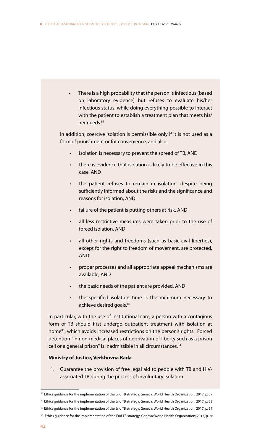- There is a high probability that the person is infectious (based on laboratory evidence) but refuses to evaluate his/her infectious status, while doing everything possible to interact with the patient to establish a treatment plan that meets his/ her needs.<sup>81</sup> In addition, coercive isolation is permissible only if it is not used as a form of punishment or for convenience, and also: isolation is necessary to prevent the spread of TB, AND there is evidence that isolation is likely to be effective in this case, AND the patient refuses to remain in isolation, despite being sufficiently informed about the risks and the significance and reasons for isolation, AND failure of the patient is putting others at risk, AND all less restrictive measures were taken prior to the use of forced isolation, AND all other rights and freedoms (such as basic civil liberties), except for the right to freedom of movement, are protected, AND • proper processes and all appropriate appeal mechanisms are available, AND the basic needs of the patient are provided, AND • the specified isolation time is the minimum necessary to achieve desired goals.<sup>82</sup> In particular, with the use of institutional care, a person with a contagious form of TB should first undergo outpatient treatment with isolation at home<sup>83</sup>, which avoids increased restrictions on the person's rights. Forced detention "in non-medical places of deprivation of liberty such as a prison cell or a general prison" is inadmissible in all circumstances.<sup>84</sup> **Ministry of Justice, Verkhovna Rada**
- 1. Guarantee the provision of free legal aid to people with TB and HIVassociated TB during the process of involuntary isolation.

<sup>81</sup> Ethics guidance for the implementation of the End TB strategy. Geneva: World Health Organization; 2017, p. 37

<sup>&</sup>lt;sup>82</sup> Ethics guidance for the implementation of the End TB strategy. Geneva: World Health Organization; 2017, p. 38

<sup>83</sup> Ethics guidance for the implementation of the End TB strategy. Geneva: World Health Organization; 2017, p. 37

<sup>84</sup> Ethics guidance for the implementation of the End TB strategy. Geneva: World Health Organization; 2017, p. 36